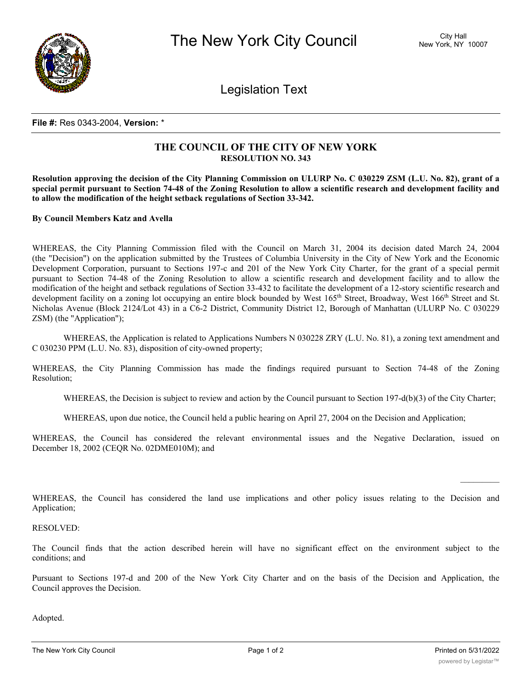

Legislation Text

## **File #:** Res 0343-2004, **Version:** \*

## **THE COUNCIL OF THE CITY OF NEW YORK RESOLUTION NO. 343**

Resolution approving the decision of the City Planning Commission on ULURP No. C 030229 ZSM (L.U. No. 82), grant of a special permit pursuant to Section 74-48 of the Zoning Resolution to allow a scientific research and development facility and **to allow the modification of the height setback regulations of Section 33-342.**

**By Council Members Katz and Avella**

WHEREAS, the City Planning Commission filed with the Council on March 31, 2004 its decision dated March 24, 2004 (the "Decision") on the application submitted by the Trustees of Columbia University in the City of New York and the Economic Development Corporation, pursuant to Sections 197-c and 201 of the New York City Charter, for the grant of a special permit pursuant to Section 74-48 of the Zoning Resolution to allow a scientific research and development facility and to allow the modification of the height and setback regulations of Section 33-432 to facilitate the development of a 12-story scientific research and development facility on a zoning lot occupying an entire block bounded by West 165<sup>th</sup> Street, Broadway, West 166<sup>th</sup> Street and St. Nicholas Avenue (Block 2124/Lot 43) in a C6-2 District, Community District 12, Borough of Manhattan (ULURP No. C 030229 ZSM) (the "Application");

WHEREAS, the Application is related to Applications Numbers N 030228 ZRY (L.U. No. 81), a zoning text amendment and C 030230 PPM (L.U. No. 83), disposition of city-owned property;

WHEREAS, the City Planning Commission has made the findings required pursuant to Section 74-48 of the Zoning Resolution;

WHEREAS, the Decision is subject to review and action by the Council pursuant to Section 197-d(b)(3) of the City Charter;

WHEREAS, upon due notice, the Council held a public hearing on April 27, 2004 on the Decision and Application;

WHEREAS, the Council has considered the relevant environmental issues and the Negative Declaration, issued on December 18, 2002 (CEQR No. 02DME010M); and

WHEREAS, the Council has considered the land use implications and other policy issues relating to the Decision and Application;

RESOLVED:

The Council finds that the action described herein will have no significant effect on the environment subject to the conditions; and

Pursuant to Sections 197-d and 200 of the New York City Charter and on the basis of the Decision and Application, the Council approves the Decision.

Adopted.

 $\frac{1}{2}$